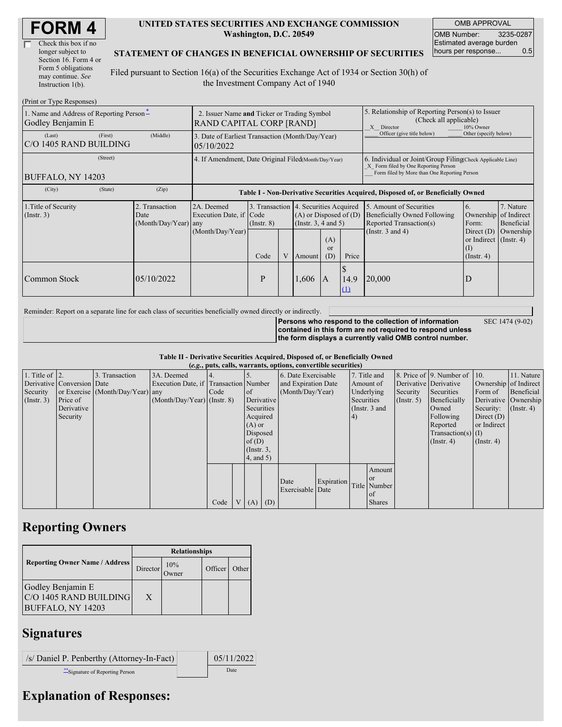| <b>FORM4</b> |
|--------------|
|--------------|

| Check this box if no  |  |
|-----------------------|--|
| longer subject to     |  |
| Section 16. Form 4 or |  |
| Form 5 obligations    |  |
| may continue. See     |  |
| Instruction 1(b).     |  |

#### **UNITED STATES SECURITIES AND EXCHANGE COMMISSION Washington, D.C. 20549**

OMB APPROVAL OMB Number: 3235-0287 Estimated average burden hours per response... 0.5

SEC 1474 (9-02)

### **STATEMENT OF CHANGES IN BENEFICIAL OWNERSHIP OF SECURITIES**

Filed pursuant to Section 16(a) of the Securities Exchange Act of 1934 or Section 30(h) of the Investment Company Act of 1940

| (Print or Type Responses)                                     |                                                                                |                                                                |                 |   |                                                                                             |                                                                                                                                                    |             |                                                                                                                     |                                                                   |                                                  |  |
|---------------------------------------------------------------|--------------------------------------------------------------------------------|----------------------------------------------------------------|-----------------|---|---------------------------------------------------------------------------------------------|----------------------------------------------------------------------------------------------------------------------------------------------------|-------------|---------------------------------------------------------------------------------------------------------------------|-------------------------------------------------------------------|--------------------------------------------------|--|
| 1. Name and Address of Reporting Person-<br>Godley Benjamin E | 2. Issuer Name and Ticker or Trading Symbol<br><b>RAND CAPITAL CORP [RAND]</b> |                                                                |                 |   |                                                                                             | 5. Relationship of Reporting Person(s) to Issuer<br>(Check all applicable)<br>X Director<br>10% Owner                                              |             |                                                                                                                     |                                                                   |                                                  |  |
| (Last)<br>(First)<br>C/O 1405 RAND BUILDING                   | (Middle)                                                                       | 3. Date of Earliest Transaction (Month/Day/Year)<br>05/10/2022 |                 |   |                                                                                             |                                                                                                                                                    |             | Officer (give title below)                                                                                          | Other (specify below)                                             |                                                  |  |
| (Street)<br>BUFFALO, NY 14203                                 | 4. If Amendment, Date Original Filed(Month/Day/Year)                           |                                                                |                 |   |                                                                                             | 6. Individual or Joint/Group Filing Check Applicable Line)<br>X Form filed by One Reporting Person<br>Form filed by More than One Reporting Person |             |                                                                                                                     |                                                                   |                                                  |  |
| (City)<br>(State)                                             | (Zip)                                                                          |                                                                |                 |   |                                                                                             |                                                                                                                                                    |             | Table I - Non-Derivative Securities Acquired, Disposed of, or Beneficially Owned                                    |                                                                   |                                                  |  |
| 1. Title of Security<br>$($ Instr. 3 $)$                      | 2. Transaction<br>Date<br>(Month/Day/Year) any                                 | 2A. Deemed<br>Execution Date, if Code                          | $($ Instr. $8)$ |   | 3. Transaction 4. Securities Acquired<br>$(A)$ or Disposed of $(D)$<br>(Insert. 3, 4 and 5) |                                                                                                                                                    |             | 5. Amount of Securities<br><sup>6.</sup><br><b>Beneficially Owned Following</b><br>Reported Transaction(s)<br>Form: |                                                                   | 7. Nature<br>Ownership of Indirect<br>Beneficial |  |
|                                                               |                                                                                | (Month/Day/Year)                                               | Code            | V | <b>Amount</b>                                                                               | (A)<br>or<br>(D)                                                                                                                                   | Price       | (Instr. $3$ and $4$ )                                                                                               | Direct $(D)$<br>or Indirect (Instr. 4)<br>(I)<br>$($ Instr. 4 $)$ | Ownership                                        |  |
| Common Stock                                                  | 05/10/2022                                                                     |                                                                | P               |   | 1,606                                                                                       | IA                                                                                                                                                 | 14.9<br>(1) | 20,000                                                                                                              | D                                                                 |                                                  |  |

Reminder: Report on a separate line for each class of securities beneficially owned directly or indirectly.

**Persons who respond to the collection of information contained in this form are not required to respond unless the form displays a currently valid OMB control number.**

**Table II - Derivative Securities Acquired, Disposed of, or Beneficially Owned**

| (e.g., puts, calls, warrants, options, convertible securities) |                            |                                  |                                       |      |                |               |            |                     |            |            |               |                       |                              |                       |                      |
|----------------------------------------------------------------|----------------------------|----------------------------------|---------------------------------------|------|----------------|---------------|------------|---------------------|------------|------------|---------------|-----------------------|------------------------------|-----------------------|----------------------|
| 1. Title of $\vert$ 2.                                         |                            | 3. Transaction                   | 3A. Deemed                            |      |                |               |            | 6. Date Exercisable |            |            | 7. Title and  |                       | 8. Price of 9. Number of 10. |                       | 11. Nature           |
|                                                                | Derivative Conversion Date |                                  | Execution Date, if Transaction Number |      |                |               |            | and Expiration Date |            |            | Amount of     | Derivative Derivative |                              | Ownership of Indirect |                      |
| Security                                                       |                            | or Exercise (Month/Day/Year) any |                                       | Code |                | of            |            | (Month/Day/Year)    |            |            | Underlying    | Security              | Securities                   | Form of               | Beneficial           |
| $($ Instr. 3 $)$                                               | Price of                   |                                  | $(Month/Day/Year)$ (Instr. 8)         |      |                |               | Derivative |                     |            | Securities |               | $($ Instr. 5)         | Beneficially                 |                       | Derivative Ownership |
|                                                                | Derivative                 |                                  |                                       |      |                | Securities    |            |                     |            |            | (Instr. 3 and |                       | Owned                        | Security:             | $($ Instr. 4 $)$     |
|                                                                | Security                   |                                  |                                       |      |                | Acquired      |            |                     |            | 4)         |               |                       | Following                    | Direct $(D)$          |                      |
|                                                                |                            |                                  |                                       |      |                | $(A)$ or      |            |                     |            |            |               |                       | Reported                     | or Indirect           |                      |
|                                                                |                            |                                  |                                       |      |                | Disposed      |            |                     |            |            |               |                       | $Transaction(s)$ (I)         |                       |                      |
|                                                                |                            |                                  |                                       |      |                | of $(D)$      |            |                     |            |            |               |                       | $($ Instr. 4 $)$             | $($ Instr. 4 $)$      |                      |
|                                                                |                            |                                  |                                       |      |                | $($ Instr. 3, |            |                     |            |            |               |                       |                              |                       |                      |
|                                                                |                            |                                  |                                       |      |                | 4, and 5)     |            |                     |            |            |               |                       |                              |                       |                      |
|                                                                |                            |                                  |                                       |      |                |               |            |                     |            |            | Amount        |                       |                              |                       |                      |
|                                                                |                            |                                  |                                       |      |                |               |            |                     |            |            | <b>or</b>     |                       |                              |                       |                      |
|                                                                |                            |                                  |                                       |      |                |               |            | Date                | Expiration |            | Title Number  |                       |                              |                       |                      |
|                                                                |                            |                                  |                                       |      |                |               |            | Exercisable Date    |            |            | of            |                       |                              |                       |                      |
|                                                                |                            |                                  |                                       | Code | V <sub>1</sub> | $(A)$ $(D)$   |            |                     |            |            | <b>Shares</b> |                       |                              |                       |                      |

## **Reporting Owners**

|                                                                         | <b>Relationships</b> |              |         |       |  |  |  |  |
|-------------------------------------------------------------------------|----------------------|--------------|---------|-------|--|--|--|--|
| <b>Reporting Owner Name / Address</b>                                   | Director             | 10%<br>Owner | Officer | Other |  |  |  |  |
| Godley Benjamin E<br>C/O 1405 RAND BUILDING<br><b>BUFFALO, NY 14203</b> | X                    |              |         |       |  |  |  |  |

## **Signatures**

| /s/ Daniel P. Penberthy (Attorney-In-Fact) | 05/11/2022 |
|--------------------------------------------|------------|
| Signature of Reporting Person              | Date       |

# **Explanation of Responses:**